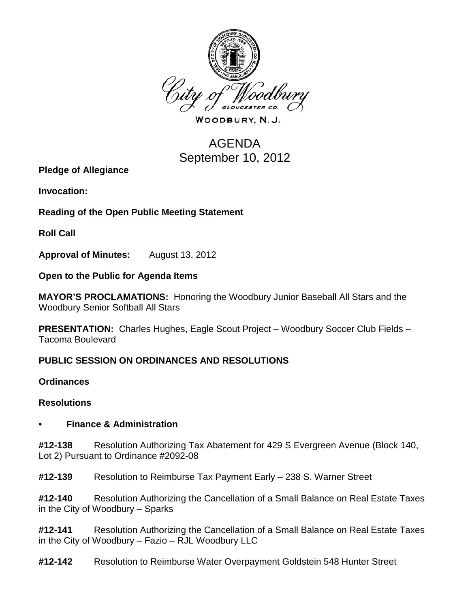

WOODBURY, N.J.

# AGENDA September 10, 2012

**Pledge of Allegiance**

**Invocation:** 

**Reading of the Open Public Meeting Statement**

**Roll Call**

**Approval of Minutes:** August 13, 2012

**Open to the Public for Agenda Items**

**MAYOR'S PROCLAMATIONS:** Honoring the Woodbury Junior Baseball All Stars and the Woodbury Senior Softball All Stars

**PRESENTATION:** Charles Hughes, Eagle Scout Project – Woodbury Soccer Club Fields – Tacoma Boulevard

# **PUBLIC SESSION ON ORDINANCES AND RESOLUTIONS**

**Ordinances**

## **Resolutions**

# **• Finance & Administration**

**#12-138** Resolution Authorizing Tax Abatement for 429 S Evergreen Avenue (Block 140, Lot 2) Pursuant to Ordinance #2092-08

**#12-139** Resolution to Reimburse Tax Payment Early – 238 S. Warner Street

**#12-140** Resolution Authorizing the Cancellation of a Small Balance on Real Estate Taxes in the City of Woodbury – Sparks

**#12-141** Resolution Authorizing the Cancellation of a Small Balance on Real Estate Taxes in the City of Woodbury – Fazio – RJL Woodbury LLC

**#12-142** Resolution to Reimburse Water Overpayment Goldstein 548 Hunter Street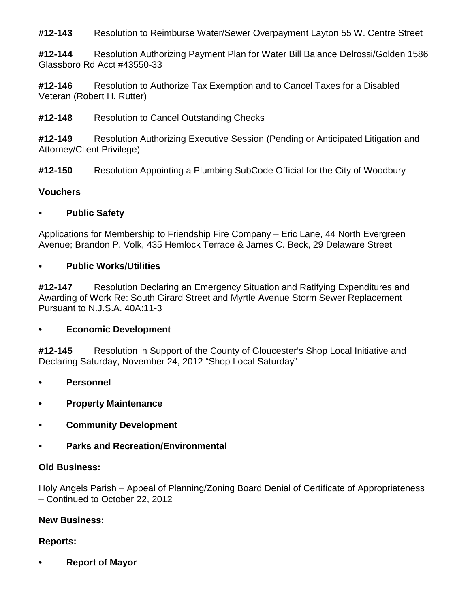**#12-143** Resolution to Reimburse Water/Sewer Overpayment Layton 55 W. Centre Street

**#12-144** Resolution Authorizing Payment Plan for Water Bill Balance Delrossi/Golden 1586 Glassboro Rd Acct #43550-33

**#12-146** Resolution to Authorize Tax Exemption and to Cancel Taxes for a Disabled Veteran (Robert H. Rutter)

**#12-148** Resolution to Cancel Outstanding Checks

**#12-149** Resolution Authorizing Executive Session (Pending or Anticipated Litigation and Attorney/Client Privilege)

**#12-150** Resolution Appointing a Plumbing SubCode Official for the City of Woodbury

## **Vouchers**

## **• Public Safety**

Applications for Membership to Friendship Fire Company – Eric Lane, 44 North Evergreen Avenue; Brandon P. Volk, 435 Hemlock Terrace & James C. Beck, 29 Delaware Street

## **• Public Works/Utilities**

**#12-147** Resolution Declaring an Emergency Situation and Ratifying Expenditures and Awarding of Work Re: South Girard Street and Myrtle Avenue Storm Sewer Replacement Pursuant to N.J.S.A. 40A:11-3

## **• Economic Development**

**#12-145** Resolution in Support of the County of Gloucester's Shop Local Initiative and Declaring Saturday, November 24, 2012 "Shop Local Saturday"

- **• Personnel**
- **• Property Maintenance**
- **• Community Development**
- **• Parks and Recreation/Environmental**

## **Old Business:**

Holy Angels Parish – Appeal of Planning/Zoning Board Denial of Certificate of Appropriateness – Continued to October 22, 2012

## **New Business:**

## **Reports:**

**• Report of Mayor**